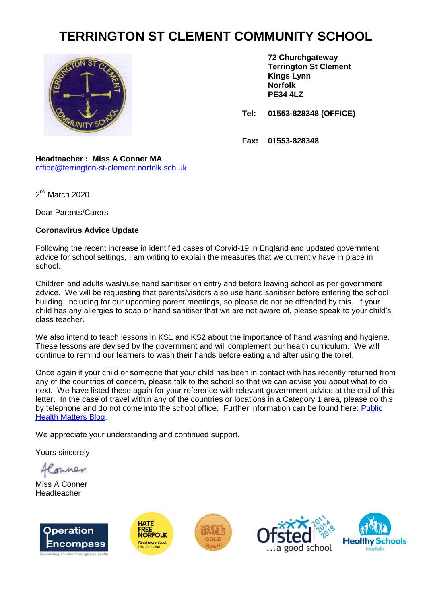## **TERRINGTON ST CLEMENT COMMUNITY SCHOOL**



**72 Churchgateway Terrington St Clement Kings Lynn Norfolk PE34 4LZ**

**Tel: 01553-828348 (OFFICE)**

**Fax: 01553-828348**

## **Headteacher : Miss A Conner MA** [office@terrington-st-clement.norfolk.sch.uk](mailto:office@terrington-st-clement.norfolk.sch.uk)

2<sup>nd</sup> March 2020

Dear Parents/Carers

## **Coronavirus Advice Update**

Following the recent increase in identified cases of Corvid-19 in England and updated government advice for school settings, I am writing to explain the measures that we currently have in place in school.

Children and adults wash/use hand sanitiser on entry and before leaving school as per government advice. We will be requesting that parents/visitors also use hand sanitiser before entering the school building, including for our upcoming parent meetings, so please do not be offended by this. If your child has any allergies to soap or hand sanitiser that we are not aware of, please speak to your child's class teacher.

We also intend to teach lessons in KS1 and KS2 about the importance of hand washing and hygiene. These lessons are devised by the government and will complement our health curriculum. We will continue to remind our learners to wash their hands before eating and after using the toilet.

Once again if your child or someone that your child has been in contact with has recently returned from any of the countries of concern, please talk to the school so that we can advise you about what to do next. We have listed these again for your reference with relevant government advice at the end of this letter. In the case of travel within any of the countries or locations in a Category 1 area, please do this by telephone and do not come into the school office. Further information can be found here: [Public](https://publichealthmatters.blog.gov.uk/2020/01/23/wuhan-novel-coronavirus-what-you-need-to-know/)  [Health Matters Blog.](https://publichealthmatters.blog.gov.uk/2020/01/23/wuhan-novel-coronavirus-what-you-need-to-know/)

We appreciate your understanding and continued support.

Yours sincerely

onner

Miss A Conner Headteacher